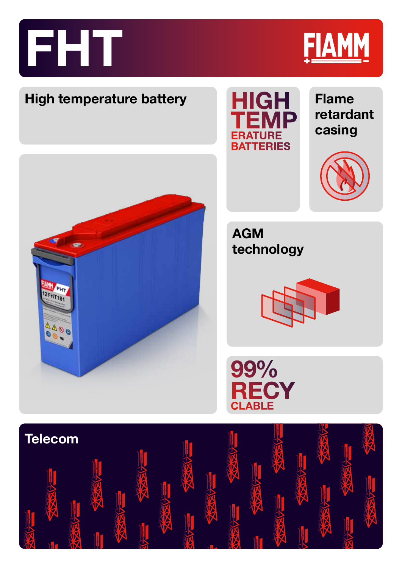



## **High temperature battery**



**AGM** 

**Flame retardant casing**







99% **RECY**